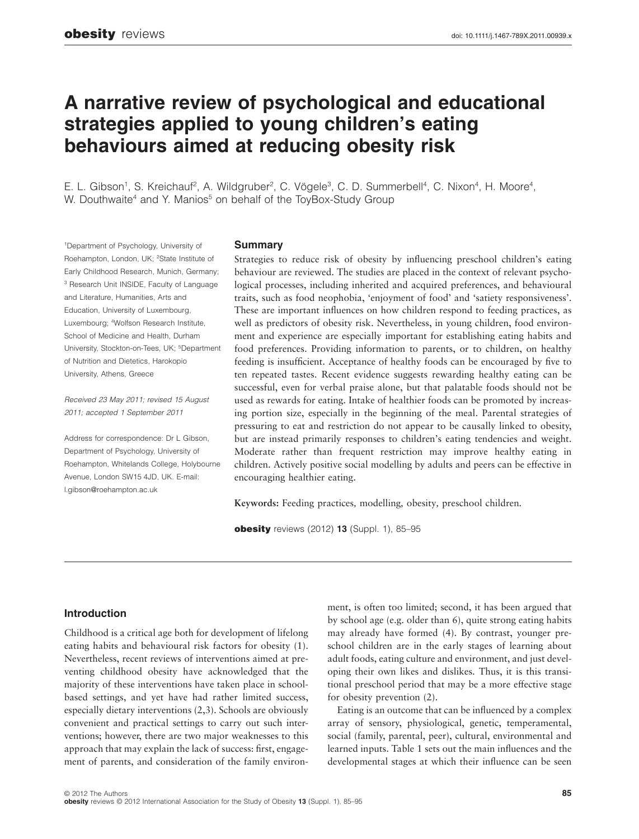# **A narrative review of psychological and educational strategies applied to young children's eating behaviours aimed at reducing obesity risk**

E. L. Gibson<sup>1</sup>, S. Kreichauf<sup>2</sup>, A. Wildgruber<sup>2</sup>, C. Vögele<sup>3</sup>, C. D. Summerbell<sup>4</sup>, C. Nixon<sup>4</sup>, H. Moore<sup>4</sup>, W. Douthwaite<sup>4</sup> and Y. Manios<sup>5</sup> on behalf of the ToyBox-Study Group

1Department of Psychology, University of Roehampton, London, UK; <sup>2</sup>State Institute of Early Childhood Research, Munich, Germany; <sup>3</sup> Research Unit INSIDE, Faculty of Language and Literature, Humanities, Arts and Education, University of Luxembourg, Luxembourg; 4Wolfson Research Institute, School of Medicine and Health, Durham University, Stockton-on-Tees, UK; <sup>5</sup>Department of Nutrition and Dietetics, Harokopio University, Athens, Greece

*Received 23 May 2011; revised 15 August 2011; accepted 1 September 2011*

Address for correspondence: Dr L Gibson, Department of Psychology, University of Roehampton, Whitelands College, Holybourne Avenue, London SW15 4JD, UK. E-mail: l.gibson@roehampton.ac.uk

### **Summary**

Strategies to reduce risk of obesity by influencing preschool children's eating behaviour are reviewed. The studies are placed in the context of relevant psychological processes, including inherited and acquired preferences, and behavioural traits, such as food neophobia, 'enjoyment of food' and 'satiety responsiveness'. These are important influences on how children respond to feeding practices, as well as predictors of obesity risk. Nevertheless, in young children, food environment and experience are especially important for establishing eating habits and food preferences. Providing information to parents, or to children, on healthy feeding is insufficient. Acceptance of healthy foods can be encouraged by five to ten repeated tastes. Recent evidence suggests rewarding healthy eating can be successful, even for verbal praise alone, but that palatable foods should not be used as rewards for eating. Intake of healthier foods can be promoted by increasing portion size, especially in the beginning of the meal. Parental strategies of pressuring to eat and restriction do not appear to be causally linked to obesity, but are instead primarily responses to children's eating tendencies and weight. Moderate rather than frequent restriction may improve healthy eating in children. Actively positive social modelling by adults and peers can be effective in encouraging healthier eating.

**Keywords:** Feeding practices*,* modelling*,* obesity*,* preschool children*.*

**obesity** reviews (2012) **13** (Suppl. 1), 85–95

# **Introduction**

Childhood is a critical age both for development of lifelong eating habits and behavioural risk factors for obesity (1). Nevertheless, recent reviews of interventions aimed at preventing childhood obesity have acknowledged that the majority of these interventions have taken place in schoolbased settings, and yet have had rather limited success, especially dietary interventions (2,3). Schools are obviously convenient and practical settings to carry out such interventions; however, there are two major weaknesses to this approach that may explain the lack of success: first, engagement of parents, and consideration of the family environment, is often too limited; second, it has been argued that by school age (e.g. older than 6), quite strong eating habits may already have formed (4). By contrast, younger preschool children are in the early stages of learning about adult foods, eating culture and environment, and just developing their own likes and dislikes. Thus, it is this transitional preschool period that may be a more effective stage for obesity prevention (2).

Eating is an outcome that can be influenced by a complex array of sensory, physiological, genetic, temperamental, social (family, parental, peer), cultural, environmental and learned inputs. Table 1 sets out the main influences and the developmental stages at which their influence can be seen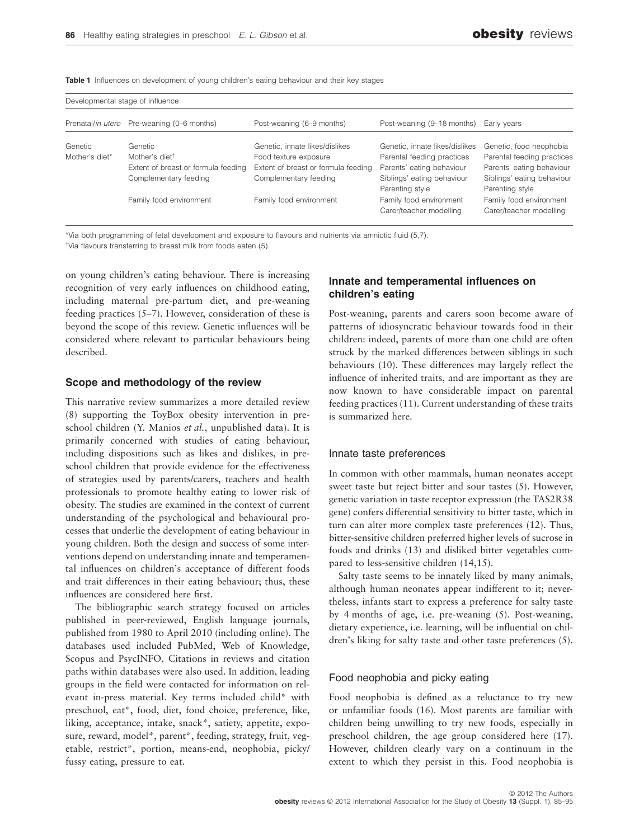| Developmental stage of influence |                                                                                                       |                                                                                                                         |                                                                                                                                            |                                                                                                                                     |
|----------------------------------|-------------------------------------------------------------------------------------------------------|-------------------------------------------------------------------------------------------------------------------------|--------------------------------------------------------------------------------------------------------------------------------------------|-------------------------------------------------------------------------------------------------------------------------------------|
|                                  | Prenatal/in utero Pre-weaning (0–6 months)                                                            | Post-weaning (6–9 months)                                                                                               | Post-weaning (9-18 months)                                                                                                                 | Early years                                                                                                                         |
| Genetic<br>Mother's diet*        | Genetic<br>Mother's diet <sup>t</sup><br>Extent of breast or formula feeding<br>Complementary feeding | Genetic, innate likes/dislikes<br>Food texture exposure<br>Extent of breast or formula feeding<br>Complementary feeding | Genetic, innate likes/dislikes<br>Parental feeding practices<br>Parents' eating behaviour<br>Siblings' eating behaviour<br>Parenting style | Genetic, food neophobia<br>Parental feeding practices<br>Parents' eating behaviour<br>Siblings' eating behaviour<br>Parenting style |
|                                  | Family food environment                                                                               | Family food environment                                                                                                 | Family food environment<br>Carer/teacher modelling                                                                                         | Family food environment<br>Carer/teacher modelling                                                                                  |

**Table 1** Influences on development of young children's eating behaviour and their key stages

\*Via both programming of fetal development and exposure to flavours and nutrients via amniotic fluid (5,7).

†Via flavours transferring to breast milk from foods eaten (5).

on young children's eating behaviour. There is increasing recognition of very early influences on childhood eating, including maternal pre-partum diet, and pre-weaning feeding practices (5–7). However, consideration of these is beyond the scope of this review. Genetic influences will be considered where relevant to particular behaviours being described.

### **Scope and methodology of the review**

This narrative review summarizes a more detailed review (8) supporting the ToyBox obesity intervention in preschool children (Y. Manios *et al.*, unpublished data). It is primarily concerned with studies of eating behaviour, including dispositions such as likes and dislikes, in preschool children that provide evidence for the effectiveness of strategies used by parents/carers, teachers and health professionals to promote healthy eating to lower risk of obesity. The studies are examined in the context of current understanding of the psychological and behavioural processes that underlie the development of eating behaviour in young children. Both the design and success of some interventions depend on understanding innate and temperamental influences on children's acceptance of different foods and trait differences in their eating behaviour; thus, these influences are considered here first.

The bibliographic search strategy focused on articles published in peer-reviewed, English language journals, published from 1980 to April 2010 (including online). The databases used included PubMed, Web of Knowledge, Scopus and PsycINFO. Citations in reviews and citation paths within databases were also used. In addition, leading groups in the field were contacted for information on relevant in-press material. Key terms included child\* with preschool, eat\*, food, diet, food choice, preference, like, liking, acceptance, intake, snack\*, satiety, appetite, exposure, reward, model\*, parent\*, feeding, strategy, fruit, vegetable, restrict\*, portion, means-end, neophobia, picky/ fussy eating, pressure to eat.

# **Innate and temperamental influences on children's eating**

Post-weaning, parents and carers soon become aware of patterns of idiosyncratic behaviour towards food in their children: indeed, parents of more than one child are often struck by the marked differences between siblings in such behaviours (10). These differences may largely reflect the influence of inherited traits, and are important as they are now known to have considerable impact on parental feeding practices (11). Current understanding of these traits is summarized here.

#### Innate taste preferences

In common with other mammals, human neonates accept sweet taste but reject bitter and sour tastes (5). However, genetic variation in taste receptor expression (the TAS2R38 gene) confers differential sensitivity to bitter taste, which in turn can alter more complex taste preferences (12). Thus, bitter-sensitive children preferred higher levels of sucrose in foods and drinks (13) and disliked bitter vegetables compared to less-sensitive children (14,15).

Salty taste seems to be innately liked by many animals, although human neonates appear indifferent to it; nevertheless, infants start to express a preference for salty taste by 4 months of age, i.e. pre-weaning (5). Post-weaning, dietary experience, i.e. learning, will be influential on children's liking for salty taste and other taste preferences (5).

## Food neophobia and picky eating

Food neophobia is defined as a reluctance to try new or unfamiliar foods (16). Most parents are familiar with children being unwilling to try new foods, especially in preschool children, the age group considered here (17). However, children clearly vary on a continuum in the extent to which they persist in this. Food neophobia is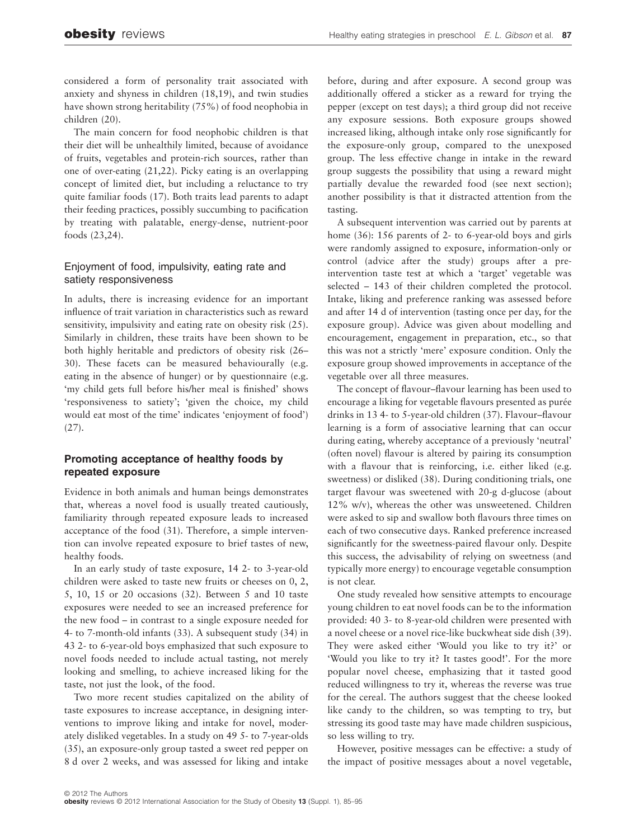considered a form of personality trait associated with anxiety and shyness in children (18,19), and twin studies have shown strong heritability (75%) of food neophobia in children (20).

The main concern for food neophobic children is that their diet will be unhealthily limited, because of avoidance of fruits, vegetables and protein-rich sources, rather than one of over-eating (21,22). Picky eating is an overlapping concept of limited diet, but including a reluctance to try quite familiar foods (17). Both traits lead parents to adapt their feeding practices, possibly succumbing to pacification by treating with palatable, energy-dense, nutrient-poor foods (23,24).

## Enjoyment of food, impulsivity, eating rate and satiety responsiveness

In adults, there is increasing evidence for an important influence of trait variation in characteristics such as reward sensitivity, impulsivity and eating rate on obesity risk (25). Similarly in children, these traits have been shown to be both highly heritable and predictors of obesity risk (26– 30). These facets can be measured behaviourally (e.g. eating in the absence of hunger) or by questionnaire (e.g. 'my child gets full before his/her meal is finished' shows 'responsiveness to satiety'; 'given the choice, my child would eat most of the time' indicates 'enjoyment of food') (27).

# **Promoting acceptance of healthy foods by repeated exposure**

Evidence in both animals and human beings demonstrates that, whereas a novel food is usually treated cautiously, familiarity through repeated exposure leads to increased acceptance of the food (31). Therefore, a simple intervention can involve repeated exposure to brief tastes of new, healthy foods.

In an early study of taste exposure, 14 2- to 3-year-old children were asked to taste new fruits or cheeses on 0, 2, 5, 10, 15 or 20 occasions (32). Between 5 and 10 taste exposures were needed to see an increased preference for the new food – in contrast to a single exposure needed for 4- to 7-month-old infants (33). A subsequent study (34) in 43 2- to 6-year-old boys emphasized that such exposure to novel foods needed to include actual tasting, not merely looking and smelling, to achieve increased liking for the taste, not just the look, of the food.

Two more recent studies capitalized on the ability of taste exposures to increase acceptance, in designing interventions to improve liking and intake for novel, moderately disliked vegetables. In a study on 49 5- to 7-year-olds (35), an exposure-only group tasted a sweet red pepper on 8 d over 2 weeks, and was assessed for liking and intake

before, during and after exposure. A second group was additionally offered a sticker as a reward for trying the pepper (except on test days); a third group did not receive any exposure sessions. Both exposure groups showed increased liking, although intake only rose significantly for the exposure-only group, compared to the unexposed group. The less effective change in intake in the reward group suggests the possibility that using a reward might partially devalue the rewarded food (see next section); another possibility is that it distracted attention from the tasting.

A subsequent intervention was carried out by parents at home (36): 156 parents of 2- to 6-year-old boys and girls were randomly assigned to exposure, information-only or control (advice after the study) groups after a preintervention taste test at which a 'target' vegetable was selected – 143 of their children completed the protocol. Intake, liking and preference ranking was assessed before and after 14 d of intervention (tasting once per day, for the exposure group). Advice was given about modelling and encouragement, engagement in preparation, etc., so that this was not a strictly 'mere' exposure condition. Only the exposure group showed improvements in acceptance of the vegetable over all three measures.

The concept of flavour–flavour learning has been used to encourage a liking for vegetable flavours presented as purée drinks in 13 4- to 5-year-old children (37). Flavour–flavour learning is a form of associative learning that can occur during eating, whereby acceptance of a previously 'neutral' (often novel) flavour is altered by pairing its consumption with a flavour that is reinforcing, i.e. either liked (e.g. sweetness) or disliked (38). During conditioning trials, one target flavour was sweetened with 20-g d-glucose (about 12% w/v), whereas the other was unsweetened. Children were asked to sip and swallow both flavours three times on each of two consecutive days. Ranked preference increased significantly for the sweetness-paired flavour only. Despite this success, the advisability of relying on sweetness (and typically more energy) to encourage vegetable consumption is not clear.

One study revealed how sensitive attempts to encourage young children to eat novel foods can be to the information provided: 40 3- to 8-year-old children were presented with a novel cheese or a novel rice-like buckwheat side dish (39). They were asked either 'Would you like to try it?' or 'Would you like to try it? It tastes good!'. For the more popular novel cheese, emphasizing that it tasted good reduced willingness to try it, whereas the reverse was true for the cereal. The authors suggest that the cheese looked like candy to the children, so was tempting to try, but stressing its good taste may have made children suspicious, so less willing to try.

However, positive messages can be effective: a study of the impact of positive messages about a novel vegetable,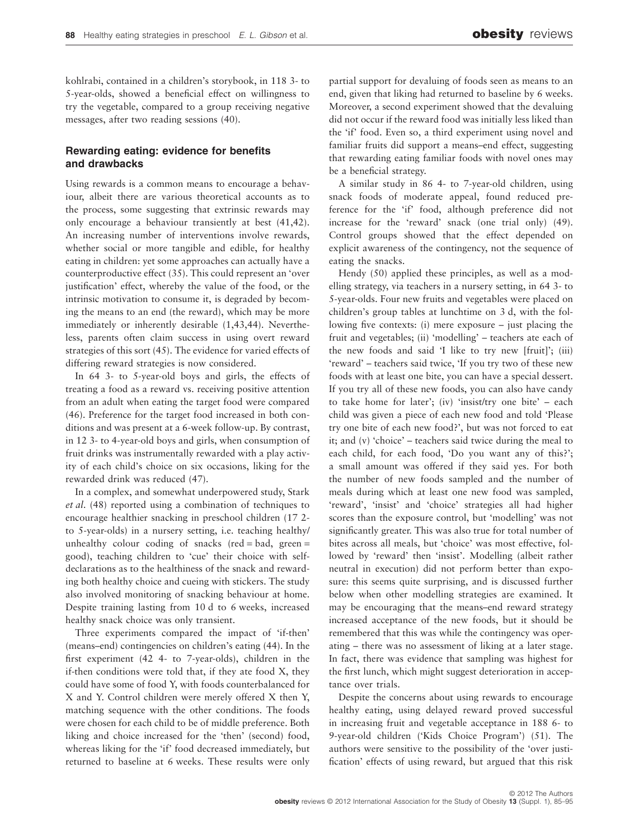kohlrabi, contained in a children's storybook, in 118 3- to 5-year-olds, showed a beneficial effect on willingness to try the vegetable, compared to a group receiving negative messages, after two reading sessions (40).

## **Rewarding eating: evidence for benefits and drawbacks**

Using rewards is a common means to encourage a behaviour, albeit there are various theoretical accounts as to the process, some suggesting that extrinsic rewards may only encourage a behaviour transiently at best (41,42). An increasing number of interventions involve rewards, whether social or more tangible and edible, for healthy eating in children: yet some approaches can actually have a counterproductive effect (35). This could represent an 'over justification' effect, whereby the value of the food, or the intrinsic motivation to consume it, is degraded by becoming the means to an end (the reward), which may be more immediately or inherently desirable (1,43,44). Nevertheless, parents often claim success in using overt reward strategies of this sort (45). The evidence for varied effects of differing reward strategies is now considered.

In 64 3- to 5-year-old boys and girls, the effects of treating a food as a reward vs. receiving positive attention from an adult when eating the target food were compared (46). Preference for the target food increased in both conditions and was present at a 6-week follow-up. By contrast, in 12 3- to 4-year-old boys and girls, when consumption of fruit drinks was instrumentally rewarded with a play activity of each child's choice on six occasions, liking for the rewarded drink was reduced (47).

In a complex, and somewhat underpowered study, Stark *et al*. (48) reported using a combination of techniques to encourage healthier snacking in preschool children (17 2 to 5-year-olds) in a nursery setting, i.e. teaching healthy/ unhealthy colour coding of snacks (red = bad, green = good), teaching children to 'cue' their choice with selfdeclarations as to the healthiness of the snack and rewarding both healthy choice and cueing with stickers. The study also involved monitoring of snacking behaviour at home. Despite training lasting from 10 d to 6 weeks, increased healthy snack choice was only transient.

Three experiments compared the impact of 'if-then' (means–end) contingencies on children's eating (44). In the first experiment (42 4- to 7-year-olds), children in the if-then conditions were told that, if they ate food X, they could have some of food Y, with foods counterbalanced for X and Y. Control children were merely offered X then Y, matching sequence with the other conditions. The foods were chosen for each child to be of middle preference. Both liking and choice increased for the 'then' (second) food, whereas liking for the 'if' food decreased immediately, but returned to baseline at 6 weeks. These results were only partial support for devaluing of foods seen as means to an end, given that liking had returned to baseline by 6 weeks. Moreover, a second experiment showed that the devaluing did not occur if the reward food was initially less liked than the 'if' food. Even so, a third experiment using novel and familiar fruits did support a means–end effect, suggesting that rewarding eating familiar foods with novel ones may be a beneficial strategy.

A similar study in 86 4- to 7-year-old children, using snack foods of moderate appeal, found reduced preference for the 'if' food, although preference did not increase for the 'reward' snack (one trial only) (49). Control groups showed that the effect depended on explicit awareness of the contingency, not the sequence of eating the snacks.

Hendy (50) applied these principles, as well as a modelling strategy, via teachers in a nursery setting, in 64 3- to 5-year-olds. Four new fruits and vegetables were placed on children's group tables at lunchtime on 3 d, with the following five contexts: (i) mere exposure – just placing the fruit and vegetables; (ii) 'modelling' – teachers ate each of the new foods and said 'I like to try new [fruit]'; (iii) 'reward' – teachers said twice, 'If you try two of these new foods with at least one bite, you can have a special dessert. If you try all of these new foods, you can also have candy to take home for later'; (iv) 'insist/try one bite' – each child was given a piece of each new food and told 'Please try one bite of each new food?', but was not forced to eat it; and (v) 'choice' – teachers said twice during the meal to each child, for each food, 'Do you want any of this?'; a small amount was offered if they said yes. For both the number of new foods sampled and the number of meals during which at least one new food was sampled, 'reward', 'insist' and 'choice' strategies all had higher scores than the exposure control, but 'modelling' was not significantly greater. This was also true for total number of bites across all meals, but 'choice' was most effective, followed by 'reward' then 'insist'. Modelling (albeit rather neutral in execution) did not perform better than exposure: this seems quite surprising, and is discussed further below when other modelling strategies are examined. It may be encouraging that the means–end reward strategy increased acceptance of the new foods, but it should be remembered that this was while the contingency was operating – there was no assessment of liking at a later stage. In fact, there was evidence that sampling was highest for the first lunch, which might suggest deterioration in acceptance over trials.

Despite the concerns about using rewards to encourage healthy eating, using delayed reward proved successful in increasing fruit and vegetable acceptance in 188 6- to 9-year-old children ('Kids Choice Program') (51). The authors were sensitive to the possibility of the 'over justification' effects of using reward, but argued that this risk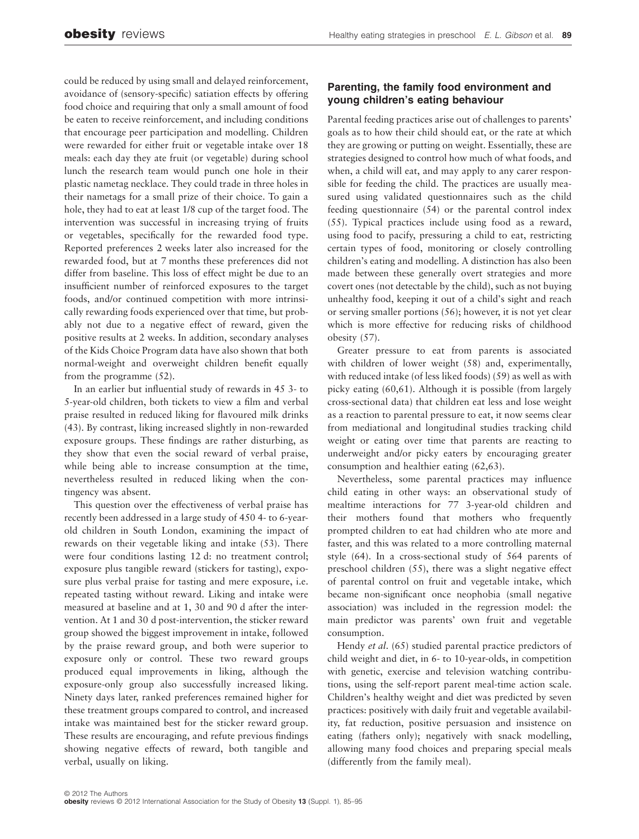could be reduced by using small and delayed reinforcement, avoidance of (sensory-specific) satiation effects by offering food choice and requiring that only a small amount of food be eaten to receive reinforcement, and including conditions that encourage peer participation and modelling. Children were rewarded for either fruit or vegetable intake over 18 meals: each day they ate fruit (or vegetable) during school lunch the research team would punch one hole in their plastic nametag necklace. They could trade in three holes in their nametags for a small prize of their choice. To gain a hole, they had to eat at least 1/8 cup of the target food. The intervention was successful in increasing trying of fruits or vegetables, specifically for the rewarded food type. Reported preferences 2 weeks later also increased for the rewarded food, but at 7 months these preferences did not differ from baseline. This loss of effect might be due to an insufficient number of reinforced exposures to the target foods, and/or continued competition with more intrinsically rewarding foods experienced over that time, but probably not due to a negative effect of reward, given the positive results at 2 weeks. In addition, secondary analyses of the Kids Choice Program data have also shown that both normal-weight and overweight children benefit equally from the programme (52).

In an earlier but influential study of rewards in 45 3- to 5-year-old children, both tickets to view a film and verbal praise resulted in reduced liking for flavoured milk drinks (43). By contrast, liking increased slightly in non-rewarded exposure groups. These findings are rather disturbing, as they show that even the social reward of verbal praise, while being able to increase consumption at the time, nevertheless resulted in reduced liking when the contingency was absent.

This question over the effectiveness of verbal praise has recently been addressed in a large study of 450 4- to 6-yearold children in South London, examining the impact of rewards on their vegetable liking and intake (53). There were four conditions lasting 12 d: no treatment control; exposure plus tangible reward (stickers for tasting), exposure plus verbal praise for tasting and mere exposure, i.e. repeated tasting without reward. Liking and intake were measured at baseline and at 1, 30 and 90 d after the intervention. At 1 and 30 d post-intervention, the sticker reward group showed the biggest improvement in intake, followed by the praise reward group, and both were superior to exposure only or control. These two reward groups produced equal improvements in liking, although the exposure-only group also successfully increased liking. Ninety days later, ranked preferences remained higher for these treatment groups compared to control, and increased intake was maintained best for the sticker reward group. These results are encouraging, and refute previous findings showing negative effects of reward, both tangible and verbal, usually on liking.

# **Parenting, the family food environment and young children's eating behaviour**

Parental feeding practices arise out of challenges to parents' goals as to how their child should eat, or the rate at which they are growing or putting on weight. Essentially, these are strategies designed to control how much of what foods, and when, a child will eat, and may apply to any carer responsible for feeding the child. The practices are usually measured using validated questionnaires such as the child feeding questionnaire (54) or the parental control index (55). Typical practices include using food as a reward, using food to pacify, pressuring a child to eat, restricting certain types of food, monitoring or closely controlling children's eating and modelling. A distinction has also been made between these generally overt strategies and more covert ones (not detectable by the child), such as not buying unhealthy food, keeping it out of a child's sight and reach or serving smaller portions (56); however, it is not yet clear which is more effective for reducing risks of childhood obesity (57).

Greater pressure to eat from parents is associated with children of lower weight (58) and, experimentally, with reduced intake (of less liked foods) (59) as well as with picky eating (60,61). Although it is possible (from largely cross-sectional data) that children eat less and lose weight as a reaction to parental pressure to eat, it now seems clear from mediational and longitudinal studies tracking child weight or eating over time that parents are reacting to underweight and/or picky eaters by encouraging greater consumption and healthier eating (62,63).

Nevertheless, some parental practices may influence child eating in other ways: an observational study of mealtime interactions for 77 3-year-old children and their mothers found that mothers who frequently prompted children to eat had children who ate more and faster, and this was related to a more controlling maternal style (64). In a cross-sectional study of 564 parents of preschool children (55), there was a slight negative effect of parental control on fruit and vegetable intake, which became non-significant once neophobia (small negative association) was included in the regression model: the main predictor was parents' own fruit and vegetable consumption.

Hendy *et al*. (65) studied parental practice predictors of child weight and diet, in 6- to 10-year-olds, in competition with genetic, exercise and television watching contributions, using the self-report parent meal-time action scale. Children's healthy weight and diet was predicted by seven practices: positively with daily fruit and vegetable availability, fat reduction, positive persuasion and insistence on eating (fathers only); negatively with snack modelling, allowing many food choices and preparing special meals (differently from the family meal).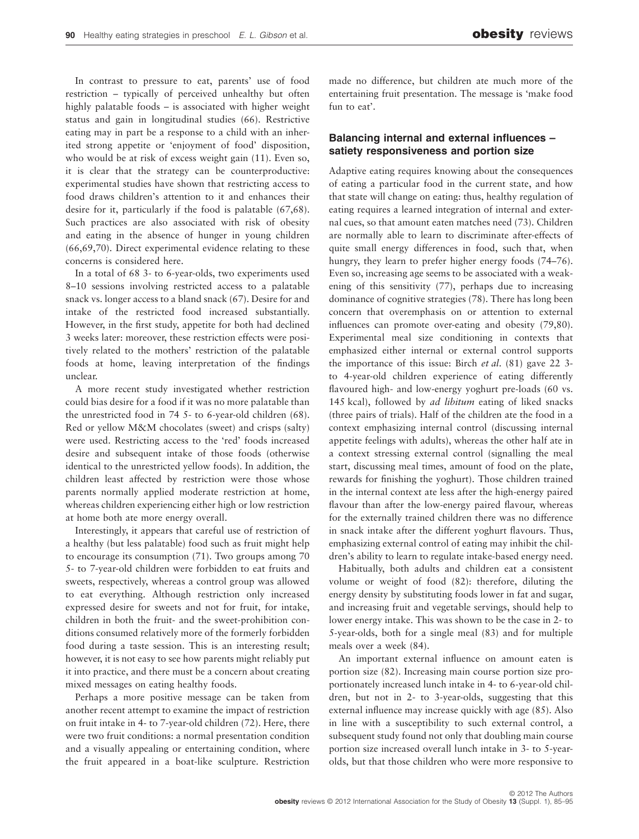In contrast to pressure to eat, parents' use of food restriction – typically of perceived unhealthy but often highly palatable foods – is associated with higher weight status and gain in longitudinal studies (66). Restrictive eating may in part be a response to a child with an inherited strong appetite or 'enjoyment of food' disposition, who would be at risk of excess weight gain (11). Even so, it is clear that the strategy can be counterproductive: experimental studies have shown that restricting access to food draws children's attention to it and enhances their desire for it, particularly if the food is palatable (67,68). Such practices are also associated with risk of obesity and eating in the absence of hunger in young children (66,69,70). Direct experimental evidence relating to these concerns is considered here.

In a total of 68 3- to 6-year-olds, two experiments used 8–10 sessions involving restricted access to a palatable snack vs. longer access to a bland snack (67). Desire for and intake of the restricted food increased substantially. However, in the first study, appetite for both had declined 3 weeks later: moreover, these restriction effects were positively related to the mothers' restriction of the palatable foods at home, leaving interpretation of the findings unclear.

A more recent study investigated whether restriction could bias desire for a food if it was no more palatable than the unrestricted food in 74 5- to 6-year-old children (68). Red or yellow M&M chocolates (sweet) and crisps (salty) were used. Restricting access to the 'red' foods increased desire and subsequent intake of those foods (otherwise identical to the unrestricted yellow foods). In addition, the children least affected by restriction were those whose parents normally applied moderate restriction at home, whereas children experiencing either high or low restriction at home both ate more energy overall.

Interestingly, it appears that careful use of restriction of a healthy (but less palatable) food such as fruit might help to encourage its consumption (71). Two groups among 70 5- to 7-year-old children were forbidden to eat fruits and sweets, respectively, whereas a control group was allowed to eat everything. Although restriction only increased expressed desire for sweets and not for fruit, for intake, children in both the fruit- and the sweet-prohibition conditions consumed relatively more of the formerly forbidden food during a taste session. This is an interesting result; however, it is not easy to see how parents might reliably put it into practice, and there must be a concern about creating mixed messages on eating healthy foods.

Perhaps a more positive message can be taken from another recent attempt to examine the impact of restriction on fruit intake in 4- to 7-year-old children (72). Here, there were two fruit conditions: a normal presentation condition and a visually appealing or entertaining condition, where the fruit appeared in a boat-like sculpture. Restriction made no difference, but children ate much more of the entertaining fruit presentation. The message is 'make food fun to eat'.

## **Balancing internal and external influences – satiety responsiveness and portion size**

Adaptive eating requires knowing about the consequences of eating a particular food in the current state, and how that state will change on eating: thus, healthy regulation of eating requires a learned integration of internal and external cues, so that amount eaten matches need (73). Children are normally able to learn to discriminate after-effects of quite small energy differences in food, such that, when hungry, they learn to prefer higher energy foods (74–76). Even so, increasing age seems to be associated with a weakening of this sensitivity (77), perhaps due to increasing dominance of cognitive strategies (78). There has long been concern that overemphasis on or attention to external influences can promote over-eating and obesity (79,80). Experimental meal size conditioning in contexts that emphasized either internal or external control supports the importance of this issue: Birch *et al*. (81) gave 22 3 to 4-year-old children experience of eating differently flavoured high- and low-energy yoghurt pre-loads (60 vs. 145 kcal), followed by *ad libitum* eating of liked snacks (three pairs of trials). Half of the children ate the food in a context emphasizing internal control (discussing internal appetite feelings with adults), whereas the other half ate in a context stressing external control (signalling the meal start, discussing meal times, amount of food on the plate, rewards for finishing the yoghurt). Those children trained in the internal context ate less after the high-energy paired flavour than after the low-energy paired flavour, whereas for the externally trained children there was no difference in snack intake after the different yoghurt flavours. Thus, emphasizing external control of eating may inhibit the children's ability to learn to regulate intake-based energy need.

Habitually, both adults and children eat a consistent volume or weight of food (82): therefore, diluting the energy density by substituting foods lower in fat and sugar, and increasing fruit and vegetable servings, should help to lower energy intake. This was shown to be the case in 2- to 5-year-olds, both for a single meal (83) and for multiple meals over a week (84).

An important external influence on amount eaten is portion size (82). Increasing main course portion size proportionately increased lunch intake in 4- to 6-year-old children, but not in 2- to 3-year-olds, suggesting that this external influence may increase quickly with age (85). Also in line with a susceptibility to such external control, a subsequent study found not only that doubling main course portion size increased overall lunch intake in 3- to 5-yearolds, but that those children who were more responsive to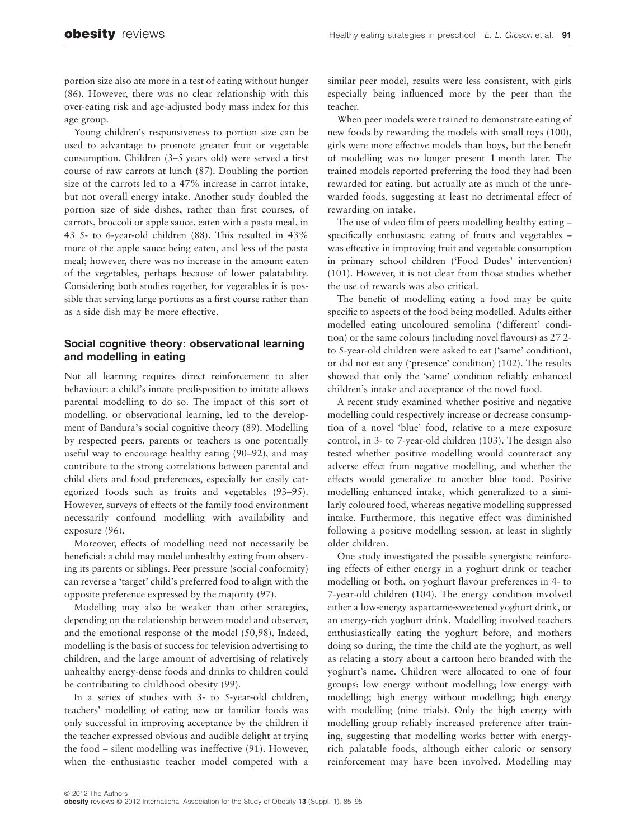portion size also ate more in a test of eating without hunger (86). However, there was no clear relationship with this over-eating risk and age-adjusted body mass index for this age group.

Young children's responsiveness to portion size can be used to advantage to promote greater fruit or vegetable consumption. Children (3–5 years old) were served a first course of raw carrots at lunch (87). Doubling the portion size of the carrots led to a 47% increase in carrot intake, but not overall energy intake. Another study doubled the portion size of side dishes, rather than first courses, of carrots, broccoli or apple sauce, eaten with a pasta meal, in 43 5- to 6-year-old children (88). This resulted in 43% more of the apple sauce being eaten, and less of the pasta meal; however, there was no increase in the amount eaten of the vegetables, perhaps because of lower palatability. Considering both studies together, for vegetables it is possible that serving large portions as a first course rather than as a side dish may be more effective.

# **Social cognitive theory: observational learning and modelling in eating**

Not all learning requires direct reinforcement to alter behaviour: a child's innate predisposition to imitate allows parental modelling to do so. The impact of this sort of modelling, or observational learning, led to the development of Bandura's social cognitive theory (89). Modelling by respected peers, parents or teachers is one potentially useful way to encourage healthy eating (90–92), and may contribute to the strong correlations between parental and child diets and food preferences, especially for easily categorized foods such as fruits and vegetables (93–95). However, surveys of effects of the family food environment necessarily confound modelling with availability and exposure (96).

Moreover, effects of modelling need not necessarily be beneficial: a child may model unhealthy eating from observing its parents or siblings. Peer pressure (social conformity) can reverse a 'target' child's preferred food to align with the opposite preference expressed by the majority (97).

Modelling may also be weaker than other strategies, depending on the relationship between model and observer, and the emotional response of the model (50,98). Indeed, modelling is the basis of success for television advertising to children, and the large amount of advertising of relatively unhealthy energy-dense foods and drinks to children could be contributing to childhood obesity (99).

In a series of studies with 3- to 5-year-old children, teachers' modelling of eating new or familiar foods was only successful in improving acceptance by the children if the teacher expressed obvious and audible delight at trying the food – silent modelling was ineffective (91). However, when the enthusiastic teacher model competed with a similar peer model, results were less consistent, with girls especially being influenced more by the peer than the teacher.

When peer models were trained to demonstrate eating of new foods by rewarding the models with small toys (100), girls were more effective models than boys, but the benefit of modelling was no longer present 1 month later. The trained models reported preferring the food they had been rewarded for eating, but actually ate as much of the unrewarded foods, suggesting at least no detrimental effect of rewarding on intake.

The use of video film of peers modelling healthy eating – specifically enthusiastic eating of fruits and vegetables – was effective in improving fruit and vegetable consumption in primary school children ('Food Dudes' intervention) (101). However, it is not clear from those studies whether the use of rewards was also critical.

The benefit of modelling eating a food may be quite specific to aspects of the food being modelled. Adults either modelled eating uncoloured semolina ('different' condition) or the same colours (including novel flavours) as 27 2 to 5-year-old children were asked to eat ('same' condition), or did not eat any ('presence' condition) (102). The results showed that only the 'same' condition reliably enhanced children's intake and acceptance of the novel food.

A recent study examined whether positive and negative modelling could respectively increase or decrease consumption of a novel 'blue' food, relative to a mere exposure control, in 3- to 7-year-old children (103). The design also tested whether positive modelling would counteract any adverse effect from negative modelling, and whether the effects would generalize to another blue food. Positive modelling enhanced intake, which generalized to a similarly coloured food, whereas negative modelling suppressed intake. Furthermore, this negative effect was diminished following a positive modelling session, at least in slightly older children.

One study investigated the possible synergistic reinforcing effects of either energy in a yoghurt drink or teacher modelling or both, on yoghurt flavour preferences in 4- to 7-year-old children (104). The energy condition involved either a low-energy aspartame-sweetened yoghurt drink, or an energy-rich yoghurt drink. Modelling involved teachers enthusiastically eating the yoghurt before, and mothers doing so during, the time the child ate the yoghurt, as well as relating a story about a cartoon hero branded with the yoghurt's name. Children were allocated to one of four groups: low energy without modelling; low energy with modelling; high energy without modelling; high energy with modelling (nine trials). Only the high energy with modelling group reliably increased preference after training, suggesting that modelling works better with energyrich palatable foods, although either caloric or sensory reinforcement may have been involved. Modelling may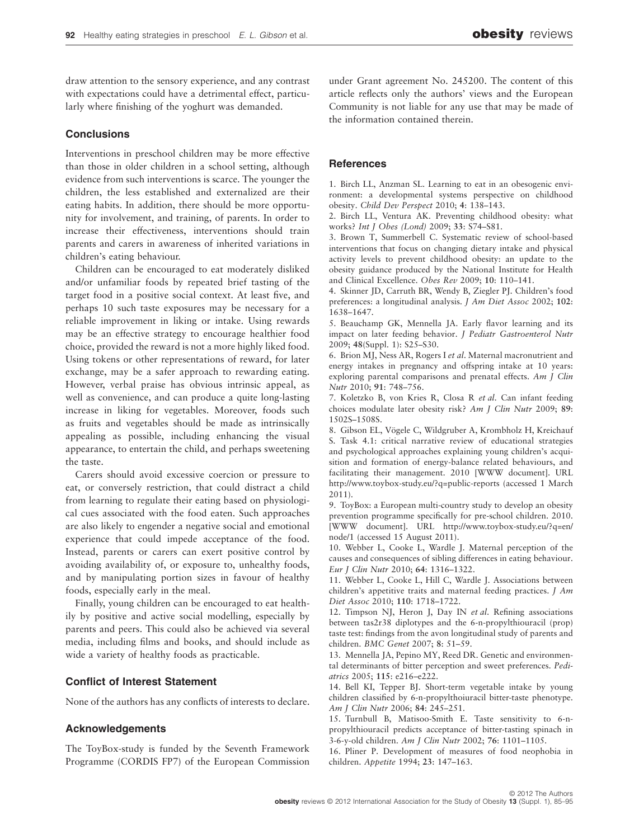draw attention to the sensory experience, and any contrast with expectations could have a detrimental effect, particularly where finishing of the yoghurt was demanded.

## **Conclusions**

Interventions in preschool children may be more effective than those in older children in a school setting, although evidence from such interventions is scarce. The younger the children, the less established and externalized are their eating habits. In addition, there should be more opportunity for involvement, and training, of parents. In order to increase their effectiveness, interventions should train parents and carers in awareness of inherited variations in children's eating behaviour.

Children can be encouraged to eat moderately disliked and/or unfamiliar foods by repeated brief tasting of the target food in a positive social context. At least five, and perhaps 10 such taste exposures may be necessary for a reliable improvement in liking or intake. Using rewards may be an effective strategy to encourage healthier food choice, provided the reward is not a more highly liked food. Using tokens or other representations of reward, for later exchange, may be a safer approach to rewarding eating. However, verbal praise has obvious intrinsic appeal, as well as convenience, and can produce a quite long-lasting increase in liking for vegetables. Moreover, foods such as fruits and vegetables should be made as intrinsically appealing as possible, including enhancing the visual appearance, to entertain the child, and perhaps sweetening the taste.

Carers should avoid excessive coercion or pressure to eat, or conversely restriction, that could distract a child from learning to regulate their eating based on physiological cues associated with the food eaten. Such approaches are also likely to engender a negative social and emotional experience that could impede acceptance of the food. Instead, parents or carers can exert positive control by avoiding availability of, or exposure to, unhealthy foods, and by manipulating portion sizes in favour of healthy foods, especially early in the meal.

Finally, young children can be encouraged to eat healthily by positive and active social modelling, especially by parents and peers. This could also be achieved via several media, including films and books, and should include as wide a variety of healthy foods as practicable.

#### **Conflict of Interest Statement**

None of the authors has any conflicts of interests to declare.

#### **Acknowledgements**

The ToyBox-study is funded by the Seventh Framework Programme (CORDIS FP7) of the European Commission under Grant agreement No. 245200. The content of this article reflects only the authors' views and the European Community is not liable for any use that may be made of the information contained therein.

#### **References**

1. Birch LL, Anzman SL. Learning to eat in an obesogenic environment: a developmental systems perspective on childhood obesity. *Child Dev Perspect* 2010; **4**: 138–143.

2. Birch LL, Ventura AK. Preventing childhood obesity: what works? *Int J Obes (Lond)* 2009; **33**: S74–S81.

3. Brown T, Summerbell C. Systematic review of school-based interventions that focus on changing dietary intake and physical activity levels to prevent childhood obesity: an update to the obesity guidance produced by the National Institute for Health and Clinical Excellence. *Obes Rev* 2009; **10**: 110–141.

4. Skinner JD, Carruth BR, Wendy B, Ziegler PJ. Children's food preferences: a longitudinal analysis. *J Am Diet Assoc* 2002; **102**: 1638–1647.

5. Beauchamp GK, Mennella JA. Early flavor learning and its impact on later feeding behavior. *J Pediatr Gastroenterol Nutr* 2009; **48**(Suppl. 1): S25–S30.

6. Brion MJ, Ness AR, Rogers I *et al*. Maternal macronutrient and energy intakes in pregnancy and offspring intake at 10 years: exploring parental comparisons and prenatal effects. *Am J Clin Nutr* 2010; **91**: 748–756.

7. Koletzko B, von Kries R, Closa R *et al*. Can infant feeding choices modulate later obesity risk? *Am J Clin Nutr* 2009; **89**: 1502S–1508S.

8. Gibson EL, Vögele C, Wildgruber A, Krombholz H, Kreichauf S. Task 4.1: critical narrative review of educational strategies and psychological approaches explaining young children's acquisition and formation of energy-balance related behaviours, and facilitating their management. 2010 [WWW document]. URL http://www.toybox-study.eu/?q=public-reports (accessed 1 March 2011).

9. ToyBox: a European multi-country study to develop an obesity prevention programme specifically for pre-school children. 2010. [WWW document]. URL http://www.toybox-study.eu/?q=en/ node/1 (accessed 15 August 2011).

10. Webber L, Cooke L, Wardle J. Maternal perception of the causes and consequences of sibling differences in eating behaviour. *Eur J Clin Nutr* 2010; **64**: 1316–1322.

11. Webber L, Cooke L, Hill C, Wardle J. Associations between children's appetitive traits and maternal feeding practices. *J Am Diet Assoc* 2010; **110**: 1718–1722.

12. Timpson NJ, Heron J, Day IN *et al*. Refining associations between tas2r38 diplotypes and the 6-n-propylthiouracil (prop) taste test: findings from the avon longitudinal study of parents and children. *BMC Genet* 2007; **8**: 51–59.

13. Mennella JA, Pepino MY, Reed DR. Genetic and environmental determinants of bitter perception and sweet preferences. *Pediatrics* 2005; **115**: e216–e222.

14. Bell KI, Tepper BJ. Short-term vegetable intake by young children classified by 6-n-propylthoiuracil bitter-taste phenotype. *Am J Clin Nutr* 2006; **84**: 245–251.

15. Turnbull B, Matisoo-Smith E. Taste sensitivity to 6-npropylthiouracil predicts acceptance of bitter-tasting spinach in 3-6-y-old children. *Am J Clin Nutr* 2002; **76**: 1101–1105.

16. Pliner P. Development of measures of food neophobia in children. *Appetite* 1994; **23**: 147–163.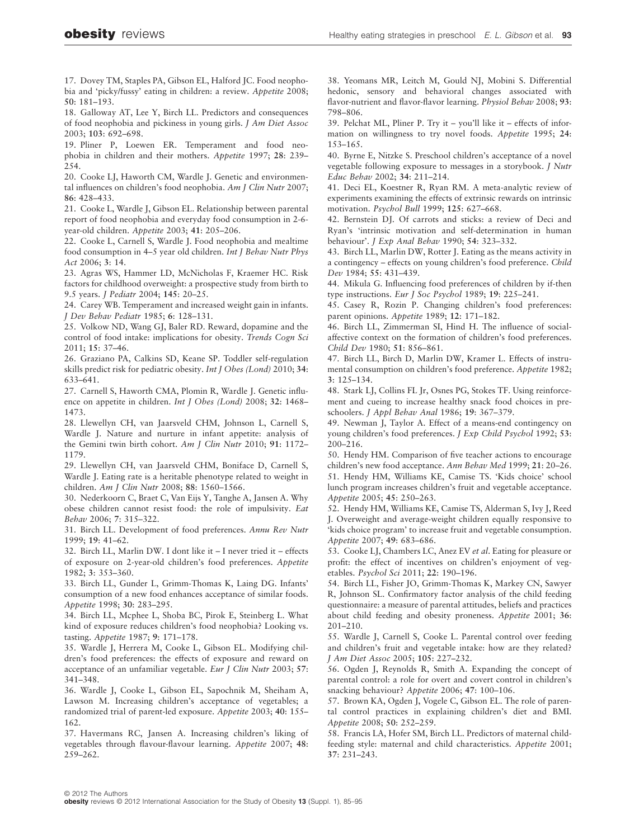17. Dovey TM, Staples PA, Gibson EL, Halford JC. Food neophobia and 'picky/fussy' eating in children: a review. *Appetite* 2008; **50**: 181–193.

18. Galloway AT, Lee Y, Birch LL. Predictors and consequences of food neophobia and pickiness in young girls. *J Am Diet Assoc* 2003; **103**: 692–698.

19. Pliner P, Loewen ER. Temperament and food neophobia in children and their mothers. *Appetite* 1997; **28**: 239– 254.

20. Cooke LJ, Haworth CM, Wardle J. Genetic and environmental influences on children's food neophobia. *Am J Clin Nutr* 2007; **86**: 428–433.

21. Cooke L, Wardle J, Gibson EL. Relationship between parental report of food neophobia and everyday food consumption in 2-6 year-old children. *Appetite* 2003; **41**: 205–206.

22. Cooke L, Carnell S, Wardle J. Food neophobia and mealtime food consumption in 4–5 year old children. *Int J Behav Nutr Phys Act* 2006; **3**: 14.

23. Agras WS, Hammer LD, McNicholas F, Kraemer HC. Risk factors for childhood overweight: a prospective study from birth to 9.5 years. *J Pediatr* 2004; **145**: 20–25.

24. Carey WB. Temperament and increased weight gain in infants. *J Dev Behav Pediatr* 1985; **6**: 128–131.

25. Volkow ND, Wang GJ, Baler RD. Reward, dopamine and the control of food intake: implications for obesity. *Trends Cogn Sci* 2011; **15**: 37–46.

26. Graziano PA, Calkins SD, Keane SP. Toddler self-regulation skills predict risk for pediatric obesity. *Int J Obes (Lond)* 2010; **34**: 633–641.

27. Carnell S, Haworth CMA, Plomin R, Wardle J. Genetic influence on appetite in children. *Int J Obes (Lond)* 2008; **32**: 1468– 1473.

28. Llewellyn CH, van Jaarsveld CHM, Johnson L, Carnell S, Wardle J. Nature and nurture in infant appetite: analysis of the Gemini twin birth cohort. *Am J Clin Nutr* 2010; **91**: 1172– 1179.

29. Llewellyn CH, van Jaarsveld CHM, Boniface D, Carnell S, Wardle J. Eating rate is a heritable phenotype related to weight in children. *Am J Clin Nutr* 2008; **88**: 1560–1566.

30. Nederkoorn C, Braet C, Van Eijs Y, Tanghe A, Jansen A. Why obese children cannot resist food: the role of impulsivity. *Eat Behav* 2006; **7**: 315–322.

31. Birch LL. Development of food preferences. *Annu Rev Nutr* 1999; **19**: 41–62.

32. Birch LL, Marlin DW. I dont like it – I never tried it – effects of exposure on 2-year-old children's food preferences. *Appetite* 1982; **3**: 353–360.

33. Birch LL, Gunder L, Grimm-Thomas K, Laing DG. Infants' consumption of a new food enhances acceptance of similar foods. *Appetite* 1998; **30**: 283–295.

34. Birch LL, Mcphee L, Shoba BC, Pirok E, Steinberg L. What kind of exposure reduces children's food neophobia? Looking vs. tasting. *Appetite* 1987; **9**: 171–178.

35. Wardle J, Herrera M, Cooke L, Gibson EL. Modifying children's food preferences: the effects of exposure and reward on acceptance of an unfamiliar vegetable. *Eur J Clin Nutr* 2003; **57**: 341–348.

36. Wardle J, Cooke L, Gibson EL, Sapochnik M, Sheiham A, Lawson M. Increasing children's acceptance of vegetables; a randomized trial of parent-led exposure. *Appetite* 2003; **40**: 155– 162.

37. Havermans RC, Jansen A. Increasing children's liking of vegetables through flavour-flavour learning. *Appetite* 2007; **48**: 259–262.

38. Yeomans MR, Leitch M, Gould NJ, Mobini S. Differential hedonic, sensory and behavioral changes associated with flavor-nutrient and flavor-flavor learning. *Physiol Behav* 2008; **93**: 798–806.

39. Pelchat ML, Pliner P. Try it – you'll like it – effects of information on willingness to try novel foods. *Appetite* 1995; **24**: 153–165.

40. Byrne E, Nitzke S. Preschool children's acceptance of a novel vegetable following exposure to messages in a storybook. *J Nutr Educ Behav* 2002; **34**: 211–214.

41. Deci EL, Koestner R, Ryan RM. A meta-analytic review of experiments examining the effects of extrinsic rewards on intrinsic motivation. *Psychol Bull* 1999; **125**: 627–668.

42. Bernstein DJ. Of carrots and sticks: a review of Deci and Ryan's 'intrinsic motivation and self-determination in human behaviour'. *J Exp Anal Behav* 1990; **54**: 323–332.

43. Birch LL, Marlin DW, Rotter J. Eating as the means activity in a contingency – effects on young children's food preference. *Child Dev* 1984; **55**: 431–439.

44. Mikula G. Influencing food preferences of children by if-then type instructions. *Eur J Soc Psychol* 1989; **19**: 225–241.

45. Casey R, Rozin P. Changing children's food preferences: parent opinions. *Appetite* 1989; **12**: 171–182.

46. Birch LL, Zimmerman SI, Hind H. The influence of socialaffective context on the formation of children's food preferences. *Child Dev* 1980; **51**: 856–861.

47. Birch LL, Birch D, Marlin DW, Kramer L. Effects of instrumental consumption on children's food preference. *Appetite* 1982; **3**: 125–134.

48. Stark LJ, Collins FL Jr, Osnes PG, Stokes TF. Using reinforcement and cueing to increase healthy snack food choices in preschoolers. *J Appl Behav Anal* 1986; **19**: 367–379.

49. Newman J, Taylor A. Effect of a means-end contingency on young children's food preferences. *J Exp Child Psychol* 1992; **53**: 200–216.

50. Hendy HM. Comparison of five teacher actions to encourage children's new food acceptance. *Ann Behav Med* 1999; **21**: 20–26. 51. Hendy HM, Williams KE, Camise TS. 'Kids choice' school lunch program increases children's fruit and vegetable acceptance. *Appetite* 2005; **45**: 250–263.

52. Hendy HM, Williams KE, Camise TS, Alderman S, Ivy J, Reed J. Overweight and average-weight children equally responsive to 'kids choice program' to increase fruit and vegetable consumption. *Appetite* 2007; **49**: 683–686.

53. Cooke LJ, Chambers LC, Anez EV *et al*. Eating for pleasure or profit: the effect of incentives on children's enjoyment of vegetables. *Psychol Sci* 2011; **22**: 190–196.

54. Birch LL, Fisher JO, Grimm-Thomas K, Markey CN, Sawyer R, Johnson SL. Confirmatory factor analysis of the child feeding questionnaire: a measure of parental attitudes, beliefs and practices about child feeding and obesity proneness. *Appetite* 2001; **36**: 201–210.

55. Wardle J, Carnell S, Cooke L. Parental control over feeding and children's fruit and vegetable intake: how are they related? *J Am Diet Assoc* 2005; **105**: 227–232.

56. Ogden J, Reynolds R, Smith A. Expanding the concept of parental control: a role for overt and covert control in children's snacking behaviour? *Appetite* 2006; **47**: 100–106.

57. Brown KA, Ogden J, Vogele C, Gibson EL. The role of parental control practices in explaining children's diet and BMI. *Appetite* 2008; **50**: 252–259.

58. Francis LA, Hofer SM, Birch LL. Predictors of maternal childfeeding style: maternal and child characteristics. *Appetite* 2001; **37**: 231–243.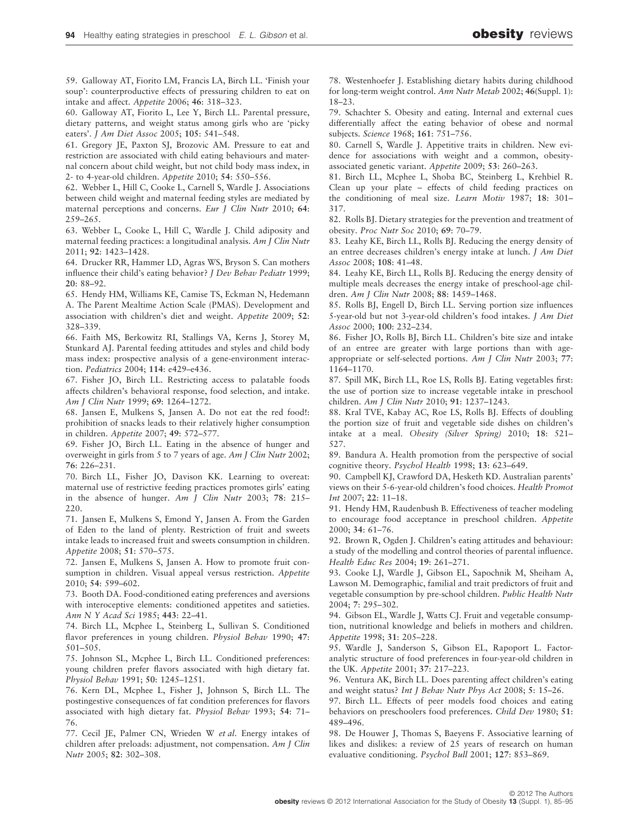59. Galloway AT, Fiorito LM, Francis LA, Birch LL. 'Finish your soup': counterproductive effects of pressuring children to eat on intake and affect. *Appetite* 2006; **46**: 318–323.

60. Galloway AT, Fiorito L, Lee Y, Birch LL. Parental pressure, dietary patterns, and weight status among girls who are 'picky eaters'. *J Am Diet Assoc* 2005; **105**: 541–548.

61. Gregory JE, Paxton SJ, Brozovic AM. Pressure to eat and restriction are associated with child eating behaviours and maternal concern about child weight, but not child body mass index, in 2- to 4-year-old children. *Appetite* 2010; **54**: 550–556.

62. Webber L, Hill C, Cooke L, Carnell S, Wardle J. Associations between child weight and maternal feeding styles are mediated by maternal perceptions and concerns. *Eur J Clin Nutr* 2010; **64**: 259–265.

63. Webber L, Cooke L, Hill C, Wardle J. Child adiposity and maternal feeding practices: a longitudinal analysis. *Am J Clin Nutr* 2011; **92**: 1423–1428.

64. Drucker RR, Hammer LD, Agras WS, Bryson S. Can mothers influence their child's eating behavior? *J Dev Behav Pediatr* 1999; **20**: 88–92.

65. Hendy HM, Williams KE, Camise TS, Eckman N, Hedemann A. The Parent Mealtime Action Scale (PMAS). Development and association with children's diet and weight. *Appetite* 2009; **52**: 328–339.

66. Faith MS, Berkowitz RI, Stallings VA, Kerns J, Storey M, Stunkard AJ. Parental feeding attitudes and styles and child body mass index: prospective analysis of a gene-environment interaction. *Pediatrics* 2004; **114**: e429–e436.

67. Fisher JO, Birch LL. Restricting access to palatable foods affects children's behavioral response, food selection, and intake. *Am J Clin Nutr* 1999; **69**: 1264–1272.

68. Jansen E, Mulkens S, Jansen A. Do not eat the red food!: prohibition of snacks leads to their relatively higher consumption in children. *Appetite* 2007; **49**: 572–577.

69. Fisher JO, Birch LL. Eating in the absence of hunger and overweight in girls from 5 to 7 years of age. *Am J Clin Nutr* 2002; **76**: 226–231.

70. Birch LL, Fisher JO, Davison KK. Learning to overeat: maternal use of restrictive feeding practices promotes girls' eating in the absence of hunger. *Am J Clin Nutr* 2003; **78**: 215– 220.

71. Jansen E, Mulkens S, Emond Y, Jansen A. From the Garden of Eden to the land of plenty. Restriction of fruit and sweets intake leads to increased fruit and sweets consumption in children. *Appetite* 2008; **51**: 570–575.

72. Jansen E, Mulkens S, Jansen A. How to promote fruit consumption in children. Visual appeal versus restriction. *Appetite* 2010; **54**: 599–602.

73. Booth DA. Food-conditioned eating preferences and aversions with interoceptive elements: conditioned appetites and satieties. *Ann N Y Acad Sci* 1985; **443**: 22–41.

74. Birch LL, Mcphee L, Steinberg L, Sullivan S. Conditioned flavor preferences in young children. *Physiol Behav* 1990; **47**: 501–505.

75. Johnson SL, Mcphee L, Birch LL. Conditioned preferences: young children prefer flavors associated with high dietary fat. *Physiol Behav* 1991; **50**: 1245–1251.

76. Kern DL, Mcphee L, Fisher J, Johnson S, Birch LL. The postingestive consequences of fat condition preferences for flavors associated with high dietary fat. *Physiol Behav* 1993; **54**: 71– 76.

77. Cecil JE, Palmer CN, Wrieden W *et al*. Energy intakes of children after preloads: adjustment, not compensation. *Am J Clin Nutr* 2005; **82**: 302–308.

78. Westenhoefer J. Establishing dietary habits during childhood for long-term weight control. *Ann Nutr Metab* 2002; **46**(Suppl. 1): 18–23.

79. Schachter S. Obesity and eating. Internal and external cues differentially affect the eating behavior of obese and normal subjects. *Science* 1968; **161**: 751–756.

80. Carnell S, Wardle J. Appetitive traits in children. New evidence for associations with weight and a common, obesityassociated genetic variant. *Appetite* 2009; **53**: 260–263.

81. Birch LL, Mcphee L, Shoba BC, Steinberg L, Krehbiel R. Clean up your plate – effects of child feeding practices on the conditioning of meal size. *Learn Motiv* 1987; **18**: 301– 317.

82. Rolls BJ. Dietary strategies for the prevention and treatment of obesity. *Proc Nutr Soc* 2010; **69**: 70–79.

83. Leahy KE, Birch LL, Rolls BJ. Reducing the energy density of an entree decreases children's energy intake at lunch. *J Am Diet Assoc* 2008; **108**: 41–48.

84. Leahy KE, Birch LL, Rolls BJ. Reducing the energy density of multiple meals decreases the energy intake of preschool-age children. *Am J Clin Nutr* 2008; **88**: 1459–1468.

85. Rolls BJ, Engell D, Birch LL. Serving portion size influences 5-year-old but not 3-year-old children's food intakes. *J Am Diet Assoc* 2000; **100**: 232–234.

86. Fisher JO, Rolls BJ, Birch LL. Children's bite size and intake of an entree are greater with large portions than with ageappropriate or self-selected portions. *Am J Clin Nutr* 2003; **77**: 1164–1170.

87. Spill MK, Birch LL, Roe LS, Rolls BJ. Eating vegetables first: the use of portion size to increase vegetable intake in preschool children. *Am J Clin Nutr* 2010; **91**: 1237–1243.

88. Kral TVE, Kabay AC, Roe LS, Rolls BJ. Effects of doubling the portion size of fruit and vegetable side dishes on children's intake at a meal. *Obesity (Silver Spring)* 2010; **18**: 521– 527.

89. Bandura A. Health promotion from the perspective of social cognitive theory. *Psychol Health* 1998; **13**: 623–649.

90. Campbell KJ, Crawford DA, Hesketh KD. Australian parents' views on their 5-6-year-old children's food choices. *Health Promot Int* 2007; **22**: 11–18.

91. Hendy HM, Raudenbush B. Effectiveness of teacher modeling to encourage food acceptance in preschool children. *Appetite* 2000; **34**: 61–76.

92. Brown R, Ogden J. Children's eating attitudes and behaviour: a study of the modelling and control theories of parental influence. *Health Educ Res* 2004; **19**: 261–271.

93. Cooke LJ, Wardle J, Gibson EL, Sapochnik M, Sheiham A, Lawson M. Demographic, familial and trait predictors of fruit and vegetable consumption by pre-school children. *Public Health Nutr* 2004; **7**: 295–302.

94. Gibson EL, Wardle J, Watts CJ. Fruit and vegetable consumption, nutritional knowledge and beliefs in mothers and children. *Appetite* 1998; **31**: 205–228.

95. Wardle J, Sanderson S, Gibson EL, Rapoport L. Factoranalytic structure of food preferences in four-year-old children in the UK. *Appetite* 2001; **37**: 217–223.

96. Ventura AK, Birch LL. Does parenting affect children's eating and weight status? *Int J Behav Nutr Phys Act* 2008; **5**: 15–26.

97. Birch LL. Effects of peer models food choices and eating behaviors on preschoolers food preferences. *Child Dev* 1980; **51**: 489–496.

98. De Houwer J, Thomas S, Baeyens F. Associative learning of likes and dislikes: a review of 25 years of research on human evaluative conditioning. *Psychol Bull* 2001; **127**: 853–869.